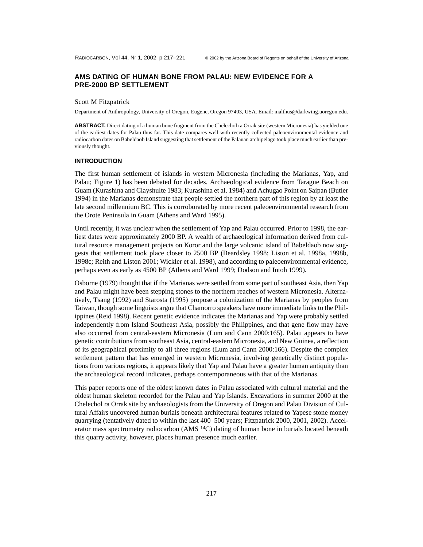## **AMS DATING OF HUMAN BONE FROM PALAU: NEW EVIDENCE FOR A PRE-2000 BP SETTLEMENT**

#### Scott M Fitzpatrick

Department of Anthropology, University of Oregon, Eugene, Oregon 97403, USA. Email: malthus@darkwing.uoregon.edu.

**ABSTRACT.** Direct dating of a human bone fragment from the Chelechol ra Orrak site (western Micronesia) has yielded one of the earliest dates for Palau thus far. This date compares well with recently collected paleoenvironmental evidence and radiocarbon dates on Babeldaob Island suggesting that settlement of the Palauan archipelago took place much earlier than previously thought.

#### **INTRODUCTION**

The first human settlement of islands in western Micronesia (including the Marianas, Yap, and Palau; Figure 1) has been debated for decades. Archaeological evidence from Tarague Beach on Guam (Kurashina and Clayshulte 1983; Kurashina et al. 1984) and Achugao Point on Saipan (Butler 1994) in the Marianas demonstrate that people settled the northern part of this region by at least the late second millennium BC. This is corroborated by more recent paleoenvironmental research from the Orote Peninsula in Guam (Athens and Ward 1995).

Until recently, it was unclear when the settlement of Yap and Palau occurred. Prior to 1998, the earliest dates were approximately 2000 BP. A wealth of archaeological information derived from cultural resource management projects on Koror and the large volcanic island of Babeldaob now suggests that settlement took place closer to 2500 BP (Beardsley 1998; Liston et al. 1998a, 1998b, 1998c; Reith and Liston 2001; Wickler et al. 1998), and according to paleoenvironmental evidence, perhaps even as early as 4500 BP (Athens and Ward 1999; Dodson and Intoh 1999).

Osborne (1979) thought that if the Marianas were settled from some part of southeast Asia, then Yap and Palau might have been stepping stones to the northern reaches of western Micronesia. Alternatively, Tsang (1992) and Starosta (1995) propose a colonization of the Marianas by peoples from Taiwan, though some linguists argue that Chamorro speakers have more immediate links to the Philippines (Reid 1998). Recent genetic evidence indicates the Marianas and Yap were probably settled independently from Island Southeast Asia, possibly the Philippines, and that gene flow may have also occurred from central-eastern Micronesia (Lum and Cann 2000:165). Palau appears to have genetic contributions from southeast Asia, central-eastern Micronesia, and New Guinea, a reflection of its geographical proximity to all three regions (Lum and Cann 2000:166). Despite the complex settlement pattern that has emerged in western Micronesia, involving genetically distinct populations from various regions, it appears likely that Yap and Palau have a greater human antiquity than the archaeological record indicates, perhaps contemporaneous with that of the Marianas.

This paper reports one of the oldest known dates in Palau associated with cultural material and the oldest human skeleton recorded for the Palau and Yap Islands. Excavations in summer 2000 at the Chelechol ra Orrak site by archaeologists from the University of Oregon and Palau Division of Cultural Affairs uncovered human burials beneath architectural features related to Yapese stone money quarrying (tentatively dated to within the last 400–500 years; Fitzpatrick 2000, 2001, 2002). Accelerator mass spectrometry radiocarbon (AMS <sup>14</sup>C) dating of human bone in burials located beneath this quarry activity, however, places human presence much earlier.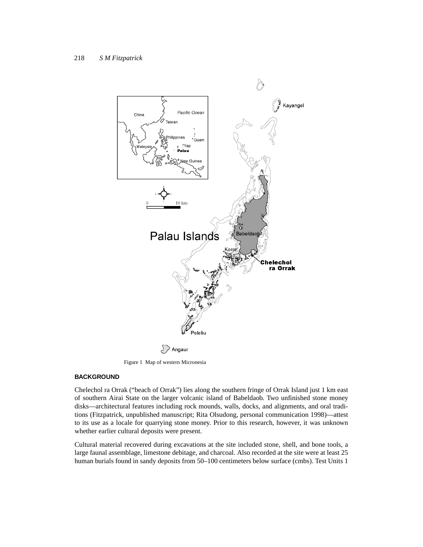

Figure 1 Map of western Micronesia

# **BACKGROUND**

Chelechol ra Orrak ("beach of Orrak") lies along the southern fringe of Orrak Island just 1 km east of southern Airai State on the larger volcanic island of Babeldaob. Two unfinished stone money disks—architectural features including rock mounds, walls, docks, and alignments, and oral traditions (Fitzpatrick, unpublished manuscript; Rita Olsudong, personal communication 1998)—attest to its use as a locale for quarrying stone money. Prior to this research, however, it was unknown whether earlier cultural deposits were present.

Cultural material recovered during excavations at the site included stone, shell, and bone tools, a large faunal assemblage, limestone debitage, and charcoal. Also recorded at the site were at least 25 human burials found in sandy deposits from 50–100 centimeters below surface (cmbs). Test Units 1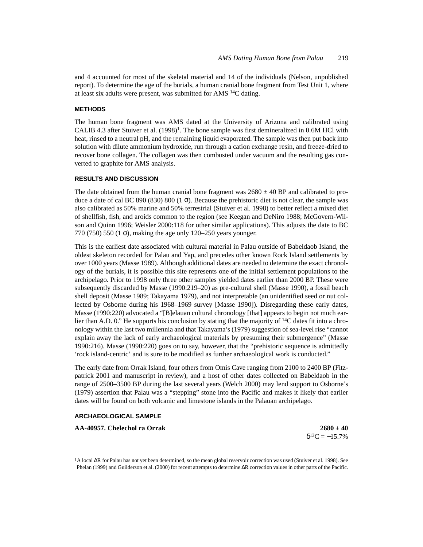and 4 accounted for most of the skeletal material and 14 of the individuals (Nelson, unpublished report). To determine the age of the burials, a human cranial bone fragment from Test Unit 1, where at least six adults were present, was submitted for AMS 14C dating.

### **METHODS**

The human bone fragment was AMS dated at the University of Arizona and calibrated using CALIB 4.3 after Stuiver et al.  $(1998)^{1}$ . The bone sample was first demineralized in 0.6M HCl with heat, rinsed to a neutral pH, and the remaining liquid evaporated. The sample was then put back into solution with dilute ammonium hydroxide, run through a cation exchange resin, and freeze-dried to recover bone collagen. The collagen was then combusted under vacuum and the resulting gas converted to graphite for AMS analysis.

### **RESULTS AND DISCUSSION**

The date obtained from the human cranial bone fragment was  $2680 \pm 40$  BP and calibrated to produce a date of cal BC 890 (830) 800 (1 $\sigma$ ). Because the prehistoric diet is not clear, the sample was also calibrated as 50% marine and 50% terrestrial (Stuiver et al. 1998) to better reflect a mixed diet of shellfish, fish, and aroids common to the region (see Keegan and DeNiro 1988; McGovern-Wilson and Quinn 1996; Weisler 2000:118 for other similar applications). This adjusts the date to BC 770 (750) 550 (1 $\sigma$ ), making the age only 120–250 years younger.

This is the earliest date associated with cultural material in Palau outside of Babeldaob Island, the oldest skeleton recorded for Palau and Yap, and precedes other known Rock Island settlements by over 1000 years (Masse 1989). Although additional dates are needed to determine the exact chronology of the burials, it is possible this site represents one of the initial settlement populations to the archipelago. Prior to 1998 only three other samples yielded dates earlier than 2000 BP. These were subsequently discarded by Masse (1990:219–20) as pre-cultural shell (Masse 1990), a fossil beach shell deposit (Masse 1989; Takayama 1979), and not interpretable (an unidentified seed or nut collected by Osborne during his 1968–1969 survey [Masse 1990]). Disregarding these early dates, Masse (1990:220) advocated a "[B]elauan cultural chronology [that] appears to begin not much earlier than A.D. 0." He supports his conclusion by stating that the majority of  $^{14}C$  dates fit into a chronology within the last two millennia and that Takayama's (1979) suggestion of sea-level rise "cannot explain away the lack of early archaeological materials by presuming their submergence" (Masse 1990:216). Masse (1990:220) goes on to say, however, that the "prehistoric sequence is admittedly 'rock island-centric' and is sure to be modified as further archaeological work is conducted."

The early date from Orrak Island, four others from Omis Cave ranging from 2100 to 2400 BP (Fitzpatrick 2001 and manuscript in review), and a host of other dates collected on Babeldaob in the range of 2500–3500 BP during the last several years (Welch 2000) may lend support to Osborne's (1979) assertion that Palau was a "stepping" stone into the Pacific and makes it likely that earlier dates will be found on both volcanic and limestone islands in the Palauan archipelago.

#### **ARCHAEOLOGICAL SAMPLE**

**AA-40957. Chelechol ra Orrak 2680 ± 40**

 $\delta^{13}C = -15.7\%$ 

1A local ∆R for Palau has not yet been determined, so the mean global reservoir correction was used (Stuiver et al. 1998). See Phelan (1999) and Guilderson et al. (2000) for recent attempts to determine ∆R correction values in other parts of the Pacific.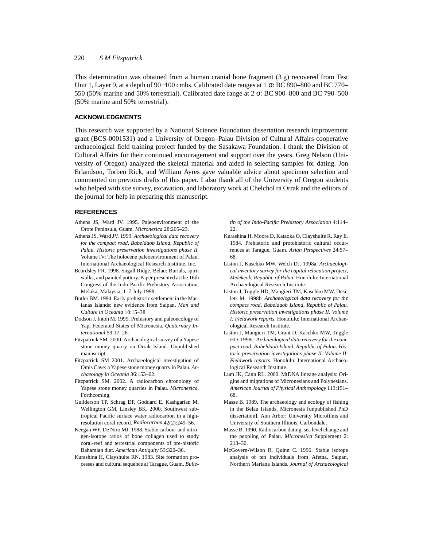#### 220 *S M Fitzpatrick*

This determination was obtained from a human cranial bone fragment (3 g) recovered from Test Unit 1, Layer 9, at a depth of 90−100 cmbs. Calibrated date ranges at 1 σ: BC 890–800 and BC 770– 550 (50% marine and 50% terrestrial). Calibrated date range at 2 σ: BC 900–800 and BC 790–500 (50% marine and 50% terrestrial).

## **ACKNOWLEDGMENTS**

This research was supported by a National Science Foundation dissertation research improvement grant (BCS-0001531) and a University of Oregon–Palau Division of Cultural Affairs cooperative archaeological field training project funded by the Sasakawa Foundation. I thank the Division of Cultural Affairs for their continued encouragement and support over the years. Greg Nelson (University of Oregon) analyzed the skeletal material and aided in selecting samples for dating. Jon Erlandson, Torben Rick, and William Ayres gave valuable advice about specimen selection and commented on previous drafts of this paper. I also thank all of the University of Oregon students who helped with site survey, excavation, and laboratory work at Chelchol ra Orrak and the editors of the journal for help in preparing this manuscript.

### **REFERENCES**

- Athens JS, Ward JV. 1995. Paleoenvironment of the Orote Peninsula, Guam. *Micronesica* 28:205–23.
- Athens JS, Ward JV. 1999. *Archaeological data recovery for the compact road, Babeldaob Island, Republic of Palau. Historic preservation investigations phase II.* Volume IV: The holocene paleoenvironment of Palau. International Archaeological Research Institute, Inc.
- Beardsley FR. 1998. Sngall Ridge, Belau: Burials, spirit walks, and painted pottery. Paper presented at the 16th Congress of the Indo-Pacific Prehistory Association, Melaka, Malaysia, 1–7 July 1998.
- Butler BM. 1994. Early prehistoric settlement in the Marianas Islands: new evidence from Saipan. *Man and Culture in Oceania* 10:15–38.
- Dodson J, Intoh M. 1999. Prehistory and paleoecology of Yap, Federated States of Micronesia. *Quaternary International* 59:17–26.
- Fitzpatrick SM. 2000. Archaeological survey of a Yapese stone money quarry on Orrak Island. Unpublished manuscript.
- Fitzpatrick SM 2001. Archaeological investigation of Omis Cave: a Yapese stone money quarry in Palau. *Archaeology in Oceania* 36:153–62.
- Fitzpatrick SM. 2002. A radiocarbon chronology of Yapese stone money quarries in Palau. *Micronesica*. Forthcoming.
- Guilderson TP, Schrag DP, Goddard E, Kashgarian M, Wellington GM, Linsley BK. 2000. Southwest subtropical Pacific surface water radiocarbon in a highresolution coral record. *Radiocarbon* 42(2):249–56.
- Keegan WF, De Niro MJ. 1988. Stable carbon- and nitrogen-isotope ratios of bone collagen used to study coral-reef and terrestrial components of pre-historic Bahamian diet. *American Antiquity* 53:320–36.
- Kurashina H, Clayshulte RN. 1983. Site formation processes and cultural sequence at Tarague, Guam. *Bulle-*

*tin of the Indo-Pacific Prehistory Association* 4:114– 22.

- Kurashina H, Moore D, Kataoka O, Clayshulte R, Ray E. 1984. Prehistoric and protohistoric cultural occurrences at Tarague, Guam. *Asian Perspectives* 24:57– 68.
- Liston J, Kaschko MW, Welch DJ. 1998a. *Archaeological inventory survey for the capital relocation project, Melekeok, Republic of Palau*. Honolulu: International Archaeological Research Institute.
- Liston J, Tuggle HD, Mangieri TM, Kaschko MW, Desilets M. 1998b. *Archaeological data recovery for the compact road, Babeldaob Island, Republic of Palau. Historic preservation investigations phase II. Volume I: Fieldwork reports.* Honolulu: International Archaeological Research Institute.
- Liston J, Mangieri TM, Grant D, Kaschko MW, Tuggle HD. 1998c. *Archaeological data recovery for the compact road, Babeldaob Island, Republic of Palau. Historic preservation investigations phase II. Volume II: Fieldwork reports*. Honolulu: International Archaeological Research Institute.
- Lum JK, Cann RL. 2000. MtDNA lineage analysis: Origins and migrations of Micronesians and Polynesians. *American Journal of Physical Anthropology* 113:151– 68.
- Masse B. 1989. The archaeology and ecology of fishing in the Belau Islands, Micronesia [unpublished PhD dissertation]. Ann Arbor: University Microfilms and University of Southern Illinois, Carbondale.
- Masse B. 1990. Radiocarbon dating, sea level change and the peopling of Palau. *Micronesica* Supplement 2: 213–30.
- McGovern-Wilson R, Quinn C. 1996. Stable isotope analysis of ten individuals from Afetna, Saipan, Northern Mariana Islands. *Journal of Archaeological*